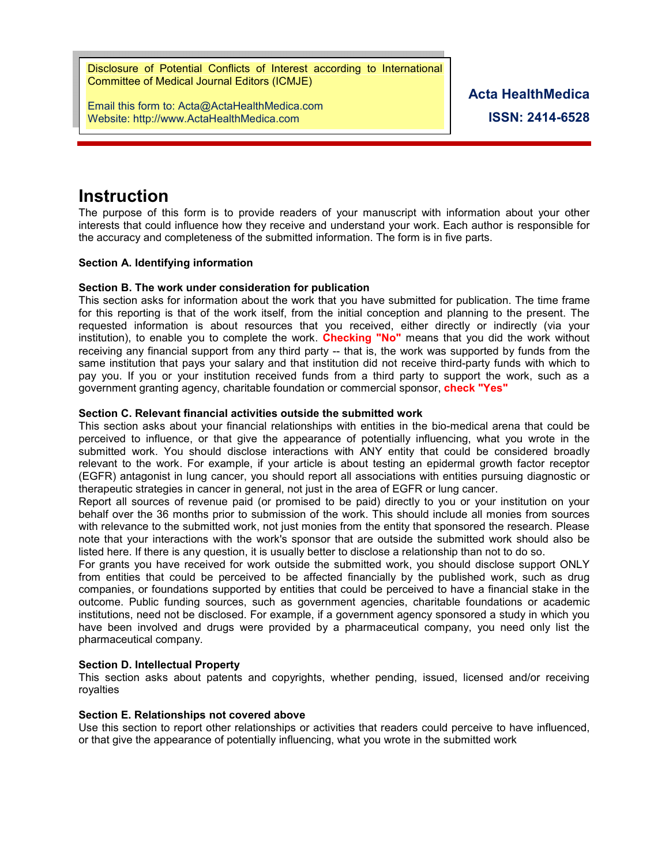Disclosure of Potential Conflicts of Interest according to International Committee of Medical Journal Editors (ICMJE)

Email this form to: Acta@ActaHealthMedica.com Website: http://www.ActaHealthMedica.com

# **Instruction**

The purpose of this form is to provide readers of your manuscript with information about your other interests that could influence how they receive and understand your work. Each author is responsible for the accuracy and completeness of the submitted information. The form is in five parts.

#### **Section A. Identifying information**

#### **Section B. The work under consideration for publication**

This section asks for information about the work that you have submitted for publication. The time frame for this reporting is that of the work itself, from the initial conception and planning to the present. The requested information is about resources that you received, either directly or indirectly (via your institution), to enable you to complete the work. **Checking "No"** means that you did the work without receiving any financial support from any third party -- that is, the work was supported by funds from the same institution that pays your salary and that institution did not receive third-party funds with which to pay you. If you or your institution received funds from a third party to support the work, such as a government granting agency, charitable foundation or commercial sponsor, **check "Yes"**

#### **Section C. Relevant financial activities outside the submitted work**

This section asks about your financial relationships with entities in the bio-medical arena that could be perceived to influence, or that give the appearance of potentially influencing, what you wrote in the submitted work. You should disclose interactions with ANY entity that could be considered broadly relevant to the work. For example, if your article is about testing an epidermal growth factor receptor (EGFR) antagonist in lung cancer, you should report all associations with entities pursuing diagnostic or therapeutic strategies in cancer in general, not just in the area of EGFR or lung cancer.

Report all sources of revenue paid (or promised to be paid) directly to you or your institution on your behalf over the 36 months prior to submission of the work. This should include all monies from sources with relevance to the submitted work, not just monies from the entity that sponsored the research. Please note that your interactions with the work's sponsor that are outside the submitted work should also be listed here. If there is any question, it is usually better to disclose a relationship than not to do so.

For grants you have received for work outside the submitted work, you should disclose support ONLY from entities that could be perceived to be affected financially by the published work, such as drug companies, or foundations supported by entities that could be perceived to have a financial stake in the outcome. Public funding sources, such as government agencies, charitable foundations or academic institutions, need not be disclosed. For example, if a government agency sponsored a study in which you have been involved and drugs were provided by a pharmaceutical company, you need only list the pharmaceutical company.

#### **Section D. Intellectual Property**

This section asks about patents and copyrights, whether pending, issued, licensed and/or receiving royalties

#### **Section E. Relationships not covered above**

Use this section to report other relationships or activities that readers could perceive to have influenced, or that give the appearance of potentially influencing, what you wrote in the submitted work